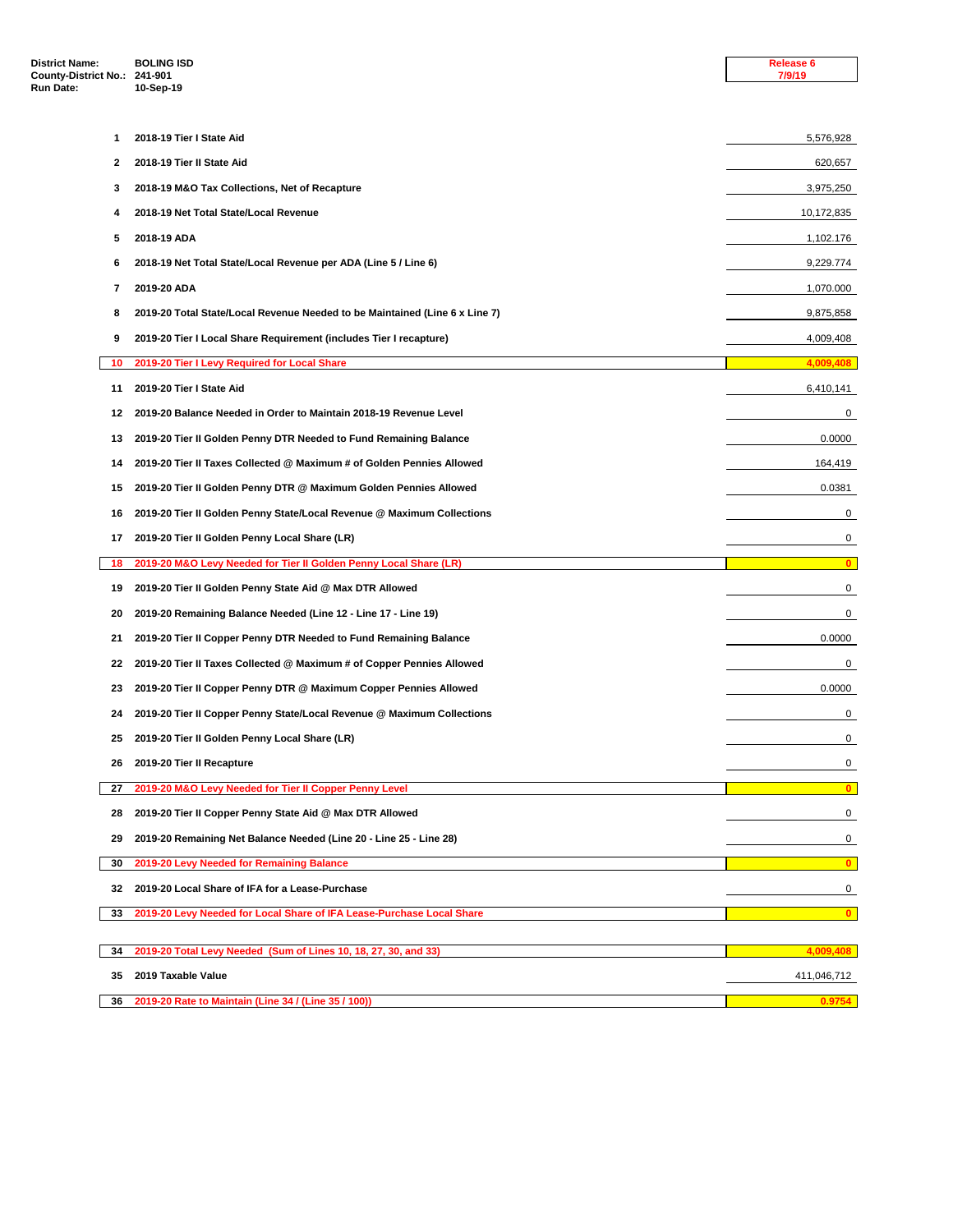| <b>District Name:</b><br>County-District No.: 241-901 | <b>BOLING ISD</b>                                                                      | Release 6<br>7/9/19     |
|-------------------------------------------------------|----------------------------------------------------------------------------------------|-------------------------|
| Run Date:                                             | 10-Sep-19                                                                              |                         |
| 1                                                     | 2018-19 Tier I State Aid                                                               |                         |
| 2                                                     | 2018-19 Tier II State Aid                                                              | 5,576,928               |
| 3                                                     |                                                                                        | 620,657                 |
| 4                                                     | 2018-19 M&O Tax Collections, Net of Recapture<br>2018-19 Net Total State/Local Revenue | 3,975,250<br>10,172,835 |
| 5                                                     | 2018-19 ADA                                                                            | 1,102.176               |
| 6                                                     | 2018-19 Net Total State/Local Revenue per ADA (Line 5 / Line 6)                        | 9,229.774               |
| 7                                                     | 2019-20 ADA                                                                            | 1,070.000               |
| 8                                                     | 2019-20 Total State/Local Revenue Needed to be Maintained (Line 6 x Line 7)            | 9,875,858               |
| 9                                                     | 2019-20 Tier I Local Share Requirement (includes Tier I recapture)                     | 4,009,408               |
| 10                                                    | 2019-20 Tier I Levy Required for Local Share                                           | 4,009,408               |
| 11                                                    | 2019-20 Tier I State Aid                                                               | 6,410,141               |
| 12                                                    | 2019-20 Balance Needed in Order to Maintain 2018-19 Revenue Level                      | 0                       |
| 13                                                    | 2019-20 Tier II Golden Penny DTR Needed to Fund Remaining Balance                      | 0.0000                  |
| 14                                                    | 2019-20 Tier II Taxes Collected @ Maximum # of Golden Pennies Allowed                  | 164,419                 |
| 15                                                    | 2019-20 Tier II Golden Penny DTR @ Maximum Golden Pennies Allowed                      | 0.0381                  |
| 16                                                    | 2019-20 Tier II Golden Penny State/Local Revenue @ Maximum Collections                 | 0                       |
| 17                                                    | 2019-20 Tier II Golden Penny Local Share (LR)                                          | 0                       |
| 18                                                    | 2019-20 M&O Levy Needed for Tier II Golden Penny Local Share (LR)                      | $\mathbf{0}$            |
| 19                                                    | 2019-20 Tier II Golden Penny State Aid @ Max DTR Allowed                               | 0                       |
| 20                                                    | 2019-20 Remaining Balance Needed (Line 12 - Line 17 - Line 19)                         | 0                       |
| 21                                                    | 2019-20 Tier II Copper Penny DTR Needed to Fund Remaining Balance                      | 0.0000                  |
| 22                                                    | 2019-20 Tier II Taxes Collected @ Maximum # of Copper Pennies Allowed                  | 0                       |
| 23                                                    | 2019-20 Tier II Copper Penny DTR @ Maximum Copper Pennies Allowed                      | 0.0000                  |
| 24                                                    | 2019-20 Tier II Copper Penny State/Local Revenue @ Maximum Collections                 | 0                       |
| 25                                                    | 2019-20 Tier II Golden Penny Local Share (LR)                                          | 0                       |
| 26                                                    | 2019-20 Tier II Recapture                                                              | 0                       |
| 27                                                    | 2019-20 M&O Levy Needed for Tier II Copper Penny Level                                 | $\mathbf{0}$            |
| 28                                                    | 2019-20 Tier II Copper Penny State Aid @ Max DTR Allowed                               | 0                       |
| 29                                                    | 2019-20 Remaining Net Balance Needed (Line 20 - Line 25 - Line 28)                     | 0                       |
| 30                                                    | 2019-20 Levy Needed for Remaining Balance                                              | $\mathbf{0}$            |
| 32                                                    | 2019-20 Local Share of IFA for a Lease-Purchase                                        | 0                       |
| 33                                                    | 2019-20 Levy Needed for Local Share of IFA Lease-Purchase Local Share                  | $\mathbf{0}$            |
| 34                                                    | 2019-20 Total Levy Needed (Sum of Lines 10, 18, 27, 30, and 33)                        | 4,009,408               |
| 35                                                    | 2019 Taxable Value                                                                     | 411,046,712             |
| 36                                                    | 2019-20 Rate to Maintain (Line 34 / (Line 35 / 100))                                   | 0.9754                  |
|                                                       |                                                                                        |                         |